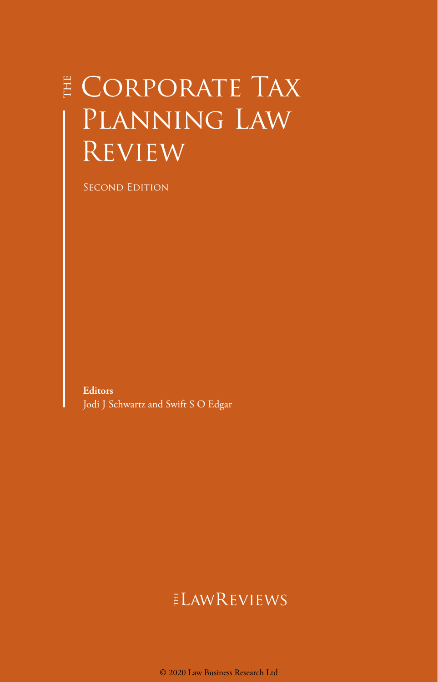## E CORPORATE TAX Planning Law Review

Second Edition

**Editors** Jodi J Schwartz and Swift S O Edgar

## ELAWREVIEWS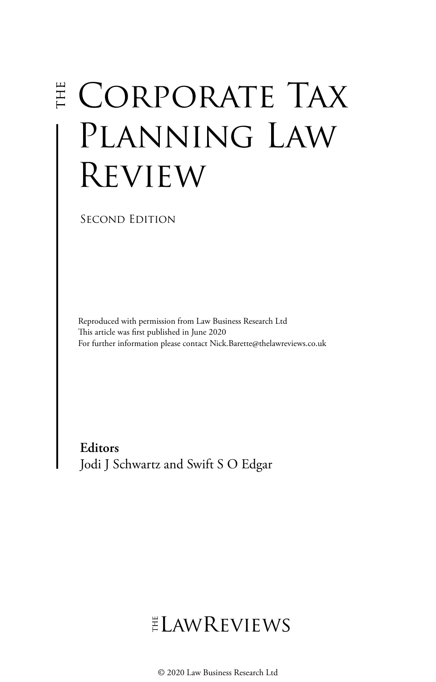# **E CORPORATE TAX** PLANNING LAW Review

Second Edition

Reproduced with permission from Law Business Research Ltd This article was first published in June 2020 For further information please contact Nick.Barette@thelawreviews.co.uk

**Editors** Jodi J Schwartz and Swift S O Edgar

## $ELMR$  EVIEWS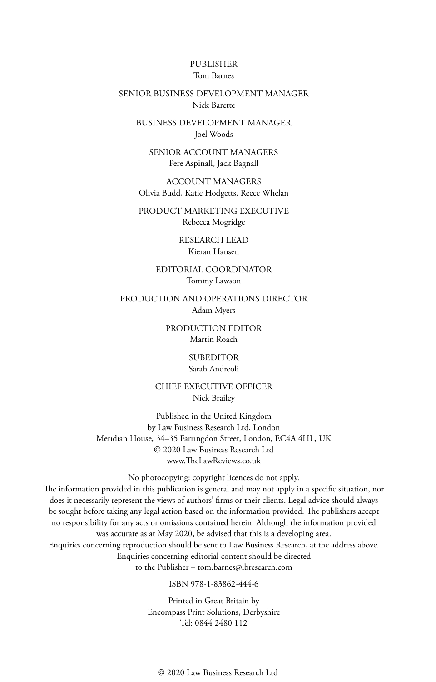#### PUBLISHER Tom Barnes

#### SENIOR BUSINESS DEVELOPMENT MANAGER Nick Barette

BUSINESS DEVELOPMENT MANAGER Joel Woods

SENIOR ACCOUNT MANAGERS Pere Aspinall, Jack Bagnall

ACCOUNT MANAGERS Olivia Budd, Katie Hodgetts, Reece Whelan

PRODUCT MARKETING EXECUTIVE Rebecca Mogridge

> RESEARCH LEAD Kieran Hansen

EDITORIAL COORDINATOR Tommy Lawson

PRODUCTION AND OPERATIONS DIRECTOR Adam Myers

> PRODUCTION EDITOR Martin Roach

> > SUBEDITOR Sarah Andreoli

CHIEF EXECUTIVE OFFICER Nick Brailey

Published in the United Kingdom by Law Business Research Ltd, London Meridian House, 34–35 Farringdon Street, London, EC4A 4HL, UK © 2020 Law Business Research Ltd www.TheLawReviews.co.uk

No photocopying: copyright licences do not apply. The information provided in this publication is general and may not apply in a specific situation, nor does it necessarily represent the views of authors' firms or their clients. Legal advice should always be sought before taking any legal action based on the information provided. The publishers accept no responsibility for any acts or omissions contained herein. Although the information provided was accurate as at May 2020, be advised that this is a developing area. Enquiries concerning reproduction should be sent to Law Business Research, at the address above. Enquiries concerning editorial content should be directed to the Publisher – tom.barnes@lbresearch.com

ISBN 978-1-83862-444-6

Printed in Great Britain by Encompass Print Solutions, Derbyshire Tel: 0844 2480 112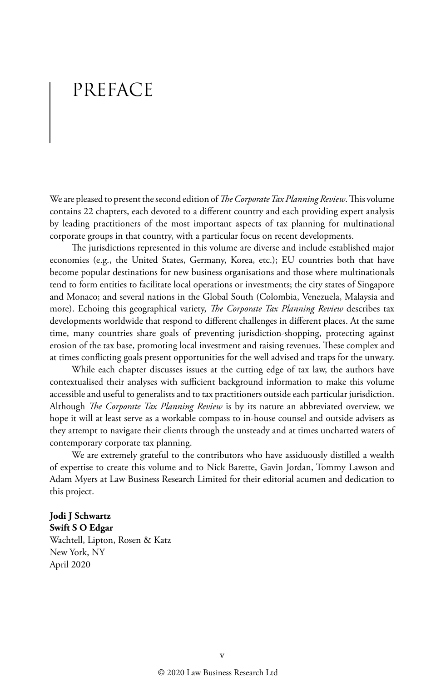## PREFACE

We are pleased to present the second edition of *The Corporate Tax Planning Review*. This volume contains 22 chapters, each devoted to a different country and each providing expert analysis by leading practitioners of the most important aspects of tax planning for multinational corporate groups in that country, with a particular focus on recent developments.

The jurisdictions represented in this volume are diverse and include established major economies (e.g., the United States, Germany, Korea, etc.); EU countries both that have become popular destinations for new business organisations and those where multinationals tend to form entities to facilitate local operations or investments; the city states of Singapore and Monaco; and several nations in the Global South (Colombia, Venezuela, Malaysia and more). Echoing this geographical variety, *The Corporate Tax Planning Review* describes tax developments worldwide that respond to different challenges in different places. At the same time, many countries share goals of preventing jurisdiction-shopping, protecting against erosion of the tax base, promoting local investment and raising revenues. These complex and at times conflicting goals present opportunities for the well advised and traps for the unwary.

While each chapter discusses issues at the cutting edge of tax law, the authors have contextualised their analyses with sufficient background information to make this volume accessible and useful to generalists and to tax practitioners outside each particular jurisdiction. Although *The Corporate Tax Planning Review* is by its nature an abbreviated overview, we hope it will at least serve as a workable compass to in-house counsel and outside advisers as they attempt to navigate their clients through the unsteady and at times uncharted waters of contemporary corporate tax planning.

We are extremely grateful to the contributors who have assiduously distilled a wealth of expertise to create this volume and to Nick Barette, Gavin Jordan, Tommy Lawson and Adam Myers at Law Business Research Limited for their editorial acumen and dedication to this project.

#### **Jodi J Schwartz Swift S O Edgar**

Wachtell, Lipton, Rosen & Katz New York, NY April 2020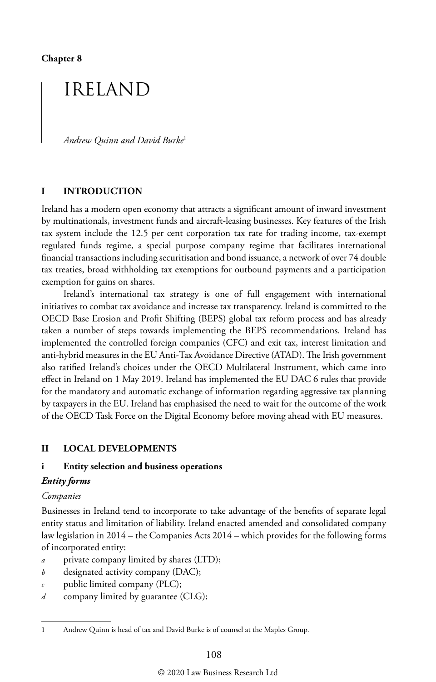**Chapter 8**

## IRELAND

*Andrew Quinn and David Burke*<sup>1</sup>

#### **I INTRODUCTION**

Ireland has a modern open economy that attracts a significant amount of inward investment by multinationals, investment funds and aircraft-leasing businesses. Key features of the Irish tax system include the 12.5 per cent corporation tax rate for trading income, tax-exempt regulated funds regime, a special purpose company regime that facilitates international financial transactions including securitisation and bond issuance, a network of over 74 double tax treaties, broad withholding tax exemptions for outbound payments and a participation exemption for gains on shares.

Ireland's international tax strategy is one of full engagement with international initiatives to combat tax avoidance and increase tax transparency. Ireland is committed to the OECD Base Erosion and Profit Shifting (BEPS) global tax reform process and has already taken a number of steps towards implementing the BEPS recommendations. Ireland has implemented the controlled foreign companies (CFC) and exit tax, interest limitation and anti-hybrid measures in the EU Anti-Tax Avoidance Directive (ATAD). The Irish government also ratified Ireland's choices under the OECD Multilateral Instrument, which came into effect in Ireland on 1 May 2019. Ireland has implemented the EU DAC 6 rules that provide for the mandatory and automatic exchange of information regarding aggressive tax planning by taxpayers in the EU. Ireland has emphasised the need to wait for the outcome of the work of the OECD Task Force on the Digital Economy before moving ahead with EU measures.

#### **II LOCAL DEVELOPMENTS**

#### **i Entity selection and business operations**

#### *Entity forms*

#### *Companies*

Businesses in Ireland tend to incorporate to take advantage of the benefits of separate legal entity status and limitation of liability. Ireland enacted amended and consolidated company law legislation in 2014 – the Companies Acts 2014 – which provides for the following forms of incorporated entity:

- *a* private company limited by shares (LTD);
- *b* designated activity company (DAC);
- *c* public limited company (PLC);
- *d* company limited by guarantee (CLG);

<sup>1</sup> Andrew Quinn is head of tax and David Burke is of counsel at the Maples Group.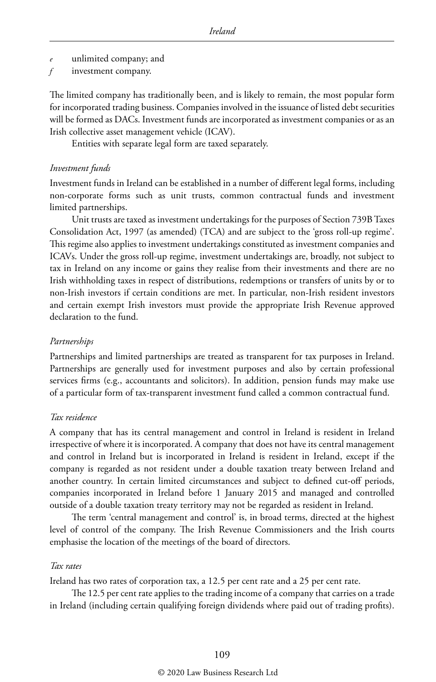- *e* unlimited company; and
- *f* investment company.

The limited company has traditionally been, and is likely to remain, the most popular form for incorporated trading business. Companies involved in the issuance of listed debt securities will be formed as DACs. Investment funds are incorporated as investment companies or as an Irish collective asset management vehicle (ICAV).

Entities with separate legal form are taxed separately.

#### *Investment funds*

Investment funds in Ireland can be established in a number of different legal forms, including non-corporate forms such as unit trusts, common contractual funds and investment limited partnerships.

Unit trusts are taxed as investment undertakings for the purposes of Section 739B Taxes Consolidation Act, 1997 (as amended) (TCA) and are subject to the 'gross roll-up regime'. This regime also applies to investment undertakings constituted as investment companies and ICAVs. Under the gross roll-up regime, investment undertakings are, broadly, not subject to tax in Ireland on any income or gains they realise from their investments and there are no Irish withholding taxes in respect of distributions, redemptions or transfers of units by or to non-Irish investors if certain conditions are met. In particular, non-Irish resident investors and certain exempt Irish investors must provide the appropriate Irish Revenue approved declaration to the fund.

#### *Partnerships*

Partnerships and limited partnerships are treated as transparent for tax purposes in Ireland. Partnerships are generally used for investment purposes and also by certain professional services firms (e.g., accountants and solicitors). In addition, pension funds may make use of a particular form of tax-transparent investment fund called a common contractual fund.

#### *Tax residence*

A company that has its central management and control in Ireland is resident in Ireland irrespective of where it is incorporated. A company that does not have its central management and control in Ireland but is incorporated in Ireland is resident in Ireland, except if the company is regarded as not resident under a double taxation treaty between Ireland and another country. In certain limited circumstances and subject to defined cut-off periods, companies incorporated in Ireland before 1 January 2015 and managed and controlled outside of a double taxation treaty territory may not be regarded as resident in Ireland.

The term 'central management and control' is, in broad terms, directed at the highest level of control of the company. The Irish Revenue Commissioners and the Irish courts emphasise the location of the meetings of the board of directors.

#### *Tax rates*

Ireland has two rates of corporation tax, a 12.5 per cent rate and a 25 per cent rate.

The 12.5 per cent rate applies to the trading income of a company that carries on a trade in Ireland (including certain qualifying foreign dividends where paid out of trading profits).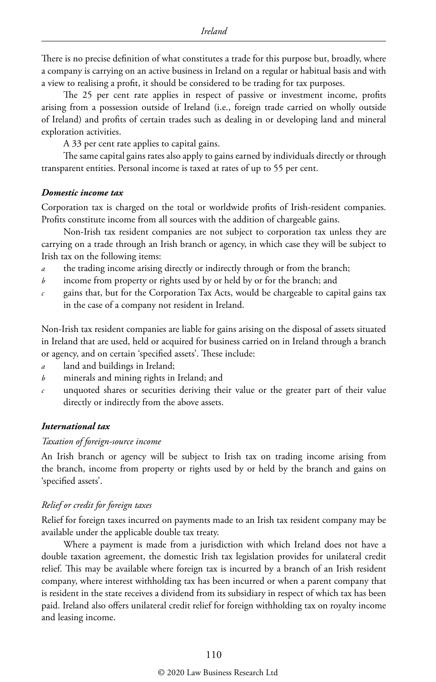There is no precise definition of what constitutes a trade for this purpose but, broadly, where a company is carrying on an active business in Ireland on a regular or habitual basis and with a view to realising a profit, it should be considered to be trading for tax purposes.

The 25 per cent rate applies in respect of passive or investment income, profits arising from a possession outside of Ireland (i.e., foreign trade carried on wholly outside of Ireland) and profits of certain trades such as dealing in or developing land and mineral exploration activities.

A 33 per cent rate applies to capital gains.

The same capital gains rates also apply to gains earned by individuals directly or through transparent entities. Personal income is taxed at rates of up to 55 per cent.

#### *Domestic income tax*

Corporation tax is charged on the total or worldwide profits of Irish-resident companies. Profits constitute income from all sources with the addition of chargeable gains.

Non-Irish tax resident companies are not subject to corporation tax unless they are carrying on a trade through an Irish branch or agency, in which case they will be subject to Irish tax on the following items:

- *a* the trading income arising directly or indirectly through or from the branch;
- *b* income from property or rights used by or held by or for the branch; and
- *c* gains that, but for the Corporation Tax Acts, would be chargeable to capital gains tax in the case of a company not resident in Ireland.

Non-Irish tax resident companies are liable for gains arising on the disposal of assets situated in Ireland that are used, held or acquired for business carried on in Ireland through a branch or agency, and on certain 'specified assets'. These include:

- *a* land and buildings in Ireland;
- *b* minerals and mining rights in Ireland; and
- *c* unquoted shares or securities deriving their value or the greater part of their value directly or indirectly from the above assets.

#### *International tax*

#### *Taxation of foreign-source income*

An Irish branch or agency will be subject to Irish tax on trading income arising from the branch, income from property or rights used by or held by the branch and gains on 'specified assets'.

#### *Relief or credit for foreign taxes*

Relief for foreign taxes incurred on payments made to an Irish tax resident company may be available under the applicable double tax treaty.

Where a payment is made from a jurisdiction with which Ireland does not have a double taxation agreement, the domestic Irish tax legislation provides for unilateral credit relief. This may be available where foreign tax is incurred by a branch of an Irish resident company, where interest withholding tax has been incurred or when a parent company that is resident in the state receives a dividend from its subsidiary in respect of which tax has been paid. Ireland also offers unilateral credit relief for foreign withholding tax on royalty income and leasing income.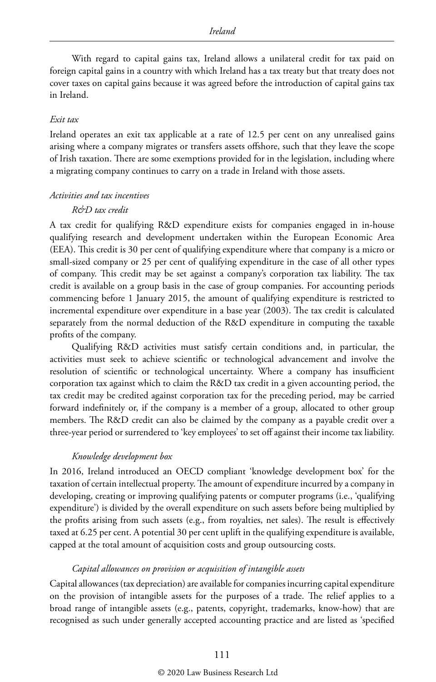With regard to capital gains tax, Ireland allows a unilateral credit for tax paid on foreign capital gains in a country with which Ireland has a tax treaty but that treaty does not cover taxes on capital gains because it was agreed before the introduction of capital gains tax in Ireland.

#### *Exit tax*

Ireland operates an exit tax applicable at a rate of 12.5 per cent on any unrealised gains arising where a company migrates or transfers assets offshore, such that they leave the scope of Irish taxation. There are some exemptions provided for in the legislation, including where a migrating company continues to carry on a trade in Ireland with those assets.

#### *Activities and tax incentives*

#### *R&D tax credit*

A tax credit for qualifying R&D expenditure exists for companies engaged in in-house qualifying research and development undertaken within the European Economic Area (EEA). This credit is 30 per cent of qualifying expenditure where that company is a micro or small-sized company or 25 per cent of qualifying expenditure in the case of all other types of company. This credit may be set against a company's corporation tax liability. The tax credit is available on a group basis in the case of group companies. For accounting periods commencing before 1 January 2015, the amount of qualifying expenditure is restricted to incremental expenditure over expenditure in a base year (2003). The tax credit is calculated separately from the normal deduction of the R&D expenditure in computing the taxable profits of the company.

Qualifying R&D activities must satisfy certain conditions and, in particular, the activities must seek to achieve scientific or technological advancement and involve the resolution of scientific or technological uncertainty. Where a company has insufficient corporation tax against which to claim the R&D tax credit in a given accounting period, the tax credit may be credited against corporation tax for the preceding period, may be carried forward indefinitely or, if the company is a member of a group, allocated to other group members. The R&D credit can also be claimed by the company as a payable credit over a three-year period or surrendered to 'key employees' to set off against their income tax liability.

#### *Knowledge development box*

In 2016, Ireland introduced an OECD compliant 'knowledge development box' for the taxation of certain intellectual property. The amount of expenditure incurred by a company in developing, creating or improving qualifying patents or computer programs (i.e., 'qualifying expenditure') is divided by the overall expenditure on such assets before being multiplied by the profits arising from such assets (e.g., from royalties, net sales). The result is effectively taxed at 6.25 per cent. A potential 30 per cent uplift in the qualifying expenditure is available, capped at the total amount of acquisition costs and group outsourcing costs.

#### *Capital allowances on provision or acquisition of intangible assets*

Capital allowances (tax depreciation) are available for companies incurring capital expenditure on the provision of intangible assets for the purposes of a trade. The relief applies to a broad range of intangible assets (e.g., patents, copyright, trademarks, know-how) that are recognised as such under generally accepted accounting practice and are listed as 'specified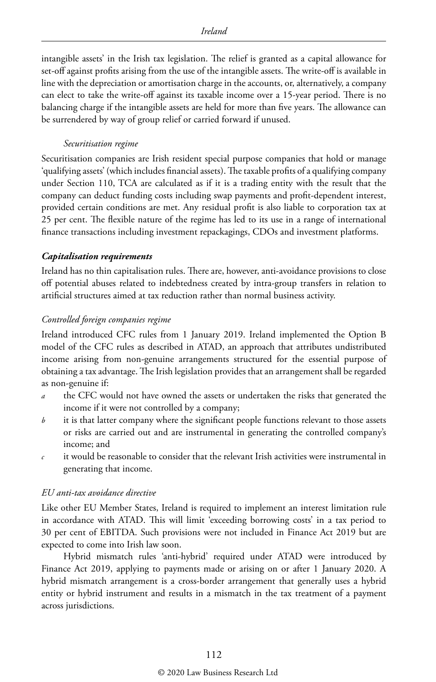intangible assets' in the Irish tax legislation. The relief is granted as a capital allowance for set-off against profits arising from the use of the intangible assets. The write-off is available in line with the depreciation or amortisation charge in the accounts, or, alternatively, a company can elect to take the write-off against its taxable income over a 15-year period. There is no balancing charge if the intangible assets are held for more than five years. The allowance can be surrendered by way of group relief or carried forward if unused.

#### *Securitisation regime*

Securitisation companies are Irish resident special purpose companies that hold or manage 'qualifying assets' (which includes financial assets). The taxable profits of a qualifying company under Section 110, TCA are calculated as if it is a trading entity with the result that the company can deduct funding costs including swap payments and profit-dependent interest, provided certain conditions are met. Any residual profit is also liable to corporation tax at 25 per cent. The flexible nature of the regime has led to its use in a range of international finance transactions including investment repackagings, CDOs and investment platforms.

#### *Capitalisation requirements*

Ireland has no thin capitalisation rules. There are, however, anti-avoidance provisions to close off potential abuses related to indebtedness created by intra-group transfers in relation to artificial structures aimed at tax reduction rather than normal business activity.

#### *Controlled foreign companies regime*

Ireland introduced CFC rules from 1 January 2019. Ireland implemented the Option B model of the CFC rules as described in ATAD, an approach that attributes undistributed income arising from non-genuine arrangements structured for the essential purpose of obtaining a tax advantage. The Irish legislation provides that an arrangement shall be regarded as non-genuine if:

- *a* the CFC would not have owned the assets or undertaken the risks that generated the income if it were not controlled by a company;
- *b* it is that latter company where the significant people functions relevant to those assets or risks are carried out and are instrumental in generating the controlled company's income; and
- *c* it would be reasonable to consider that the relevant Irish activities were instrumental in generating that income.

#### *EU anti-tax avoidance directive*

Like other EU Member States, Ireland is required to implement an interest limitation rule in accordance with ATAD. This will limit 'exceeding borrowing costs' in a tax period to 30 per cent of EBITDA. Such provisions were not included in Finance Act 2019 but are expected to come into Irish law soon.

Hybrid mismatch rules 'anti-hybrid' required under ATAD were introduced by Finance Act 2019, applying to payments made or arising on or after 1 January 2020. A hybrid mismatch arrangement is a cross-border arrangement that generally uses a hybrid entity or hybrid instrument and results in a mismatch in the tax treatment of a payment across jurisdictions.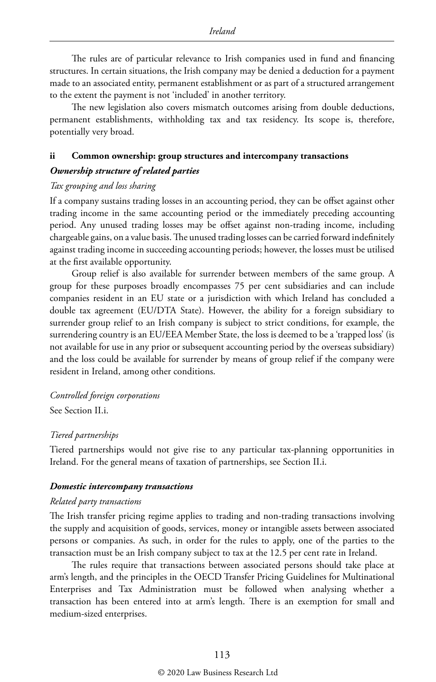The rules are of particular relevance to Irish companies used in fund and financing structures. In certain situations, the Irish company may be denied a deduction for a payment made to an associated entity, permanent establishment or as part of a structured arrangement to the extent the payment is not 'included' in another territory.

The new legislation also covers mismatch outcomes arising from double deductions, permanent establishments, withholding tax and tax residency. Its scope is, therefore, potentially very broad.

#### **ii Common ownership: group structures and intercompany transactions**

#### *Ownership structure of related parties*

#### *Tax grouping and loss sharing*

If a company sustains trading losses in an accounting period, they can be offset against other trading income in the same accounting period or the immediately preceding accounting period. Any unused trading losses may be offset against non-trading income, including chargeable gains, on a value basis. The unused trading losses can be carried forward indefinitely against trading income in succeeding accounting periods; however, the losses must be utilised at the first available opportunity.

Group relief is also available for surrender between members of the same group. A group for these purposes broadly encompasses 75 per cent subsidiaries and can include companies resident in an EU state or a jurisdiction with which Ireland has concluded a double tax agreement (EU/DTA State). However, the ability for a foreign subsidiary to surrender group relief to an Irish company is subject to strict conditions, for example, the surrendering country is an EU/EEA Member State, the loss is deemed to be a 'trapped loss' (is not available for use in any prior or subsequent accounting period by the overseas subsidiary) and the loss could be available for surrender by means of group relief if the company were resident in Ireland, among other conditions.

#### *Controlled foreign corporations*

See Section II.i.

#### *Tiered partnerships*

Tiered partnerships would not give rise to any particular tax-planning opportunities in Ireland. For the general means of taxation of partnerships, see Section II.i.

#### *Domestic intercompany transactions*

#### *Related party transactions*

The Irish transfer pricing regime applies to trading and non-trading transactions involving the supply and acquisition of goods, services, money or intangible assets between associated persons or companies. As such, in order for the rules to apply, one of the parties to the transaction must be an Irish company subject to tax at the 12.5 per cent rate in Ireland.

The rules require that transactions between associated persons should take place at arm's length, and the principles in the OECD Transfer Pricing Guidelines for Multinational Enterprises and Tax Administration must be followed when analysing whether a transaction has been entered into at arm's length. There is an exemption for small and medium-sized enterprises.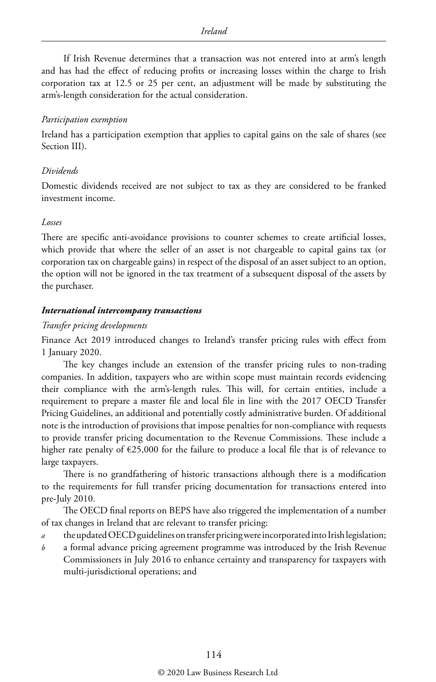If Irish Revenue determines that a transaction was not entered into at arm's length and has had the effect of reducing profits or increasing losses within the charge to Irish corporation tax at 12.5 or 25 per cent, an adjustment will be made by substituting the arm's-length consideration for the actual consideration.

#### *Participation exemption*

Ireland has a participation exemption that applies to capital gains on the sale of shares (see Section III).

#### *Dividends*

Domestic dividends received are not subject to tax as they are considered to be franked investment income.

#### *Losses*

There are specific anti-avoidance provisions to counter schemes to create artificial losses, which provide that where the seller of an asset is not chargeable to capital gains tax (or corporation tax on chargeable gains) in respect of the disposal of an asset subject to an option, the option will not be ignored in the tax treatment of a subsequent disposal of the assets by the purchaser.

#### *International intercompany transactions*

#### *Transfer pricing developments*

Finance Act 2019 introduced changes to Ireland's transfer pricing rules with effect from 1 January 2020.

The key changes include an extension of the transfer pricing rules to non-trading companies. In addition, taxpayers who are within scope must maintain records evidencing their compliance with the arm's-length rules. This will, for certain entities, include a requirement to prepare a master file and local file in line with the 2017 OECD Transfer Pricing Guidelines, an additional and potentially costly administrative burden. Of additional note is the introduction of provisions that impose penalties for non-compliance with requests to provide transfer pricing documentation to the Revenue Commissions. These include a higher rate penalty of  $\epsilon$ 25,000 for the failure to produce a local file that is of relevance to large taxpayers.

There is no grandfathering of historic transactions although there is a modification to the requirements for full transfer pricing documentation for transactions entered into pre-July 2010.

The OECD final reports on BEPS have also triggered the implementation of a number of tax changes in Ireland that are relevant to transfer pricing:

- *a* the updated OECD guidelines on transfer pricing were incorporated into Irish legislation;
- *b* a formal advance pricing agreement programme was introduced by the Irish Revenue Commissioners in July 2016 to enhance certainty and transparency for taxpayers with multi-jurisdictional operations; and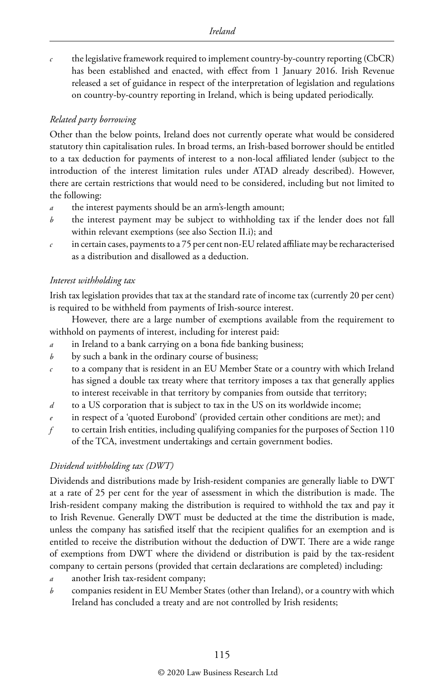*c* the legislative framework required to implement country-by-country reporting (CbCR) has been established and enacted, with effect from 1 January 2016. Irish Revenue released a set of guidance in respect of the interpretation of legislation and regulations on country-by-country reporting in Ireland, which is being updated periodically.

#### *Related party borrowing*

Other than the below points, Ireland does not currently operate what would be considered statutory thin capitalisation rules. In broad terms, an Irish-based borrower should be entitled to a tax deduction for payments of interest to a non-local affiliated lender (subject to the introduction of the interest limitation rules under ATAD already described). However, there are certain restrictions that would need to be considered, including but not limited to the following:

- the interest payments should be an arm's-length amount;
- *b* the interest payment may be subject to withholding tax if the lender does not fall within relevant exemptions (see also Section II.i); and
- in certain cases, payments to a 75 per cent non-EU related affiliate may be recharacterised as a distribution and disallowed as a deduction.

#### *Interest withholding tax*

Irish tax legislation provides that tax at the standard rate of income tax (currently 20 per cent) is required to be withheld from payments of Irish-source interest.

However, there are a large number of exemptions available from the requirement to withhold on payments of interest, including for interest paid:

- *a* in Ireland to a bank carrying on a bona fide banking business;
- *b* by such a bank in the ordinary course of business;
- *c* to a company that is resident in an EU Member State or a country with which Ireland has signed a double tax treaty where that territory imposes a tax that generally applies to interest receivable in that territory by companies from outside that territory;
- *d* to a US corporation that is subject to tax in the US on its worldwide income;
- in respect of a 'quoted Eurobond' (provided certain other conditions are met); and
- *f* to certain Irish entities, including qualifying companies for the purposes of Section 110 of the TCA, investment undertakings and certain government bodies.

#### *Dividend withholding tax (DWT)*

Dividends and distributions made by Irish-resident companies are generally liable to DWT at a rate of 25 per cent for the year of assessment in which the distribution is made. The Irish-resident company making the distribution is required to withhold the tax and pay it to Irish Revenue. Generally DWT must be deducted at the time the distribution is made, unless the company has satisfied itself that the recipient qualifies for an exemption and is entitled to receive the distribution without the deduction of DWT. There are a wide range of exemptions from DWT where the dividend or distribution is paid by the tax-resident company to certain persons (provided that certain declarations are completed) including:

- *a* another Irish tax-resident company;
- *b* companies resident in EU Member States (other than Ireland), or a country with which Ireland has concluded a treaty and are not controlled by Irish residents;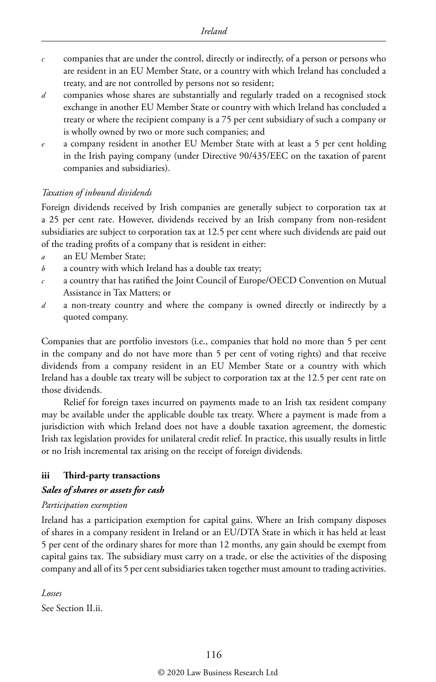- *c* companies that are under the control, directly or indirectly, of a person or persons who are resident in an EU Member State, or a country with which Ireland has concluded a treaty, and are not controlled by persons not so resident;
- *d* companies whose shares are substantially and regularly traded on a recognised stock exchange in another EU Member State or country with which Ireland has concluded a treaty or where the recipient company is a 75 per cent subsidiary of such a company or is wholly owned by two or more such companies; and
- *e* a company resident in another EU Member State with at least a 5 per cent holding in the Irish paying company (under Directive 90/435/EEC on the taxation of parent companies and subsidiaries).

#### *Taxation of inbound dividends*

Foreign dividends received by Irish companies are generally subject to corporation tax at a 25 per cent rate. However, dividends received by an Irish company from non-resident subsidiaries are subject to corporation tax at 12.5 per cent where such dividends are paid out of the trading profits of a company that is resident in either:

- *a* an EU Member State;
- *b* a country with which Ireland has a double tax treaty;
- *c* a country that has ratified the Joint Council of Europe/OECD Convention on Mutual Assistance in Tax Matters; or
- *d* a non-treaty country and where the company is owned directly or indirectly by a quoted company.

Companies that are portfolio investors (i.e., companies that hold no more than 5 per cent in the company and do not have more than 5 per cent of voting rights) and that receive dividends from a company resident in an EU Member State or a country with which Ireland has a double tax treaty will be subject to corporation tax at the 12.5 per cent rate on those dividends.

Relief for foreign taxes incurred on payments made to an Irish tax resident company may be available under the applicable double tax treaty. Where a payment is made from a jurisdiction with which Ireland does not have a double taxation agreement, the domestic Irish tax legislation provides for unilateral credit relief. In practice, this usually results in little or no Irish incremental tax arising on the receipt of foreign dividends.

#### **iii Third-party transactions**

#### *Sales of shares or assets for cash*

#### *Participation exemption*

Ireland has a participation exemption for capital gains. Where an Irish company disposes of shares in a company resident in Ireland or an EU/DTA State in which it has held at least 5 per cent of the ordinary shares for more than 12 months, any gain should be exempt from capital gains tax. The subsidiary must carry on a trade, or else the activities of the disposing company and all of its 5 per cent subsidiaries taken together must amount to trading activities.

*Losses*

See Section II.ii.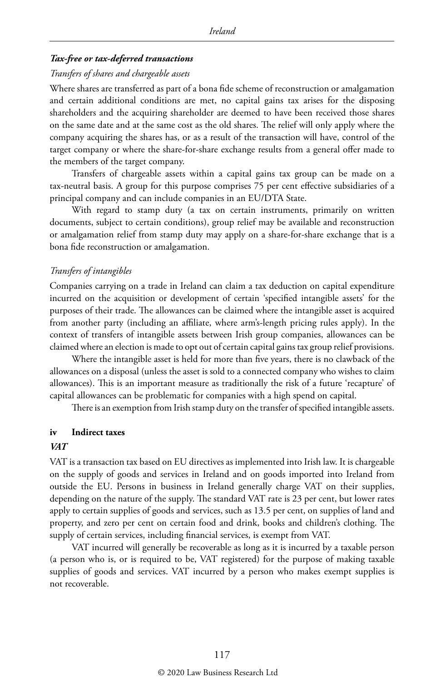#### *Tax-free or tax-deferred transactions*

#### *Transfers of shares and chargeable assets*

Where shares are transferred as part of a bona fide scheme of reconstruction or amalgamation and certain additional conditions are met, no capital gains tax arises for the disposing shareholders and the acquiring shareholder are deemed to have been received those shares on the same date and at the same cost as the old shares. The relief will only apply where the company acquiring the shares has, or as a result of the transaction will have, control of the target company or where the share-for-share exchange results from a general offer made to the members of the target company.

Transfers of chargeable assets within a capital gains tax group can be made on a tax-neutral basis. A group for this purpose comprises 75 per cent effective subsidiaries of a principal company and can include companies in an EU/DTA State.

With regard to stamp duty (a tax on certain instruments, primarily on written documents, subject to certain conditions), group relief may be available and reconstruction or amalgamation relief from stamp duty may apply on a share-for-share exchange that is a bona fide reconstruction or amalgamation.

#### *Transfers of intangibles*

Companies carrying on a trade in Ireland can claim a tax deduction on capital expenditure incurred on the acquisition or development of certain 'specified intangible assets' for the purposes of their trade. The allowances can be claimed where the intangible asset is acquired from another party (including an affiliate, where arm's-length pricing rules apply). In the context of transfers of intangible assets between Irish group companies, allowances can be claimed where an election is made to opt out of certain capital gains tax group relief provisions.

Where the intangible asset is held for more than five years, there is no clawback of the allowances on a disposal (unless the asset is sold to a connected company who wishes to claim allowances). This is an important measure as traditionally the risk of a future 'recapture' of capital allowances can be problematic for companies with a high spend on capital.

There is an exemption from Irish stamp duty on the transfer of specified intangible assets.

#### **iv Indirect taxes**

#### *VAT*

VAT is a transaction tax based on EU directives as implemented into Irish law. It is chargeable on the supply of goods and services in Ireland and on goods imported into Ireland from outside the EU. Persons in business in Ireland generally charge VAT on their supplies, depending on the nature of the supply. The standard VAT rate is 23 per cent, but lower rates apply to certain supplies of goods and services, such as 13.5 per cent, on supplies of land and property, and zero per cent on certain food and drink, books and children's clothing. The supply of certain services, including financial services, is exempt from VAT.

VAT incurred will generally be recoverable as long as it is incurred by a taxable person (a person who is, or is required to be, VAT registered) for the purpose of making taxable supplies of goods and services. VAT incurred by a person who makes exempt supplies is not recoverable.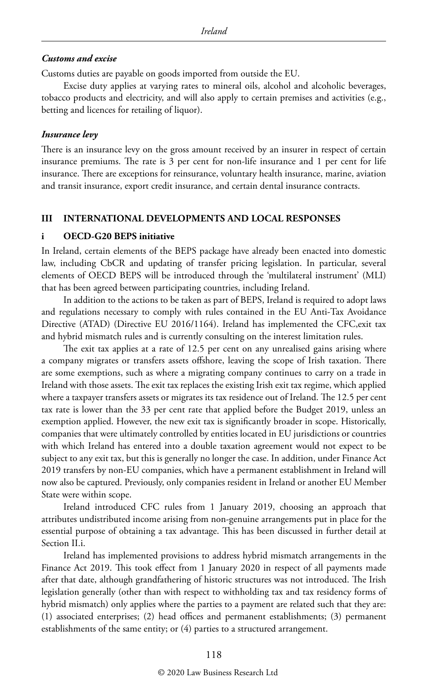#### *Customs and excise*

Customs duties are payable on goods imported from outside the EU.

Excise duty applies at varying rates to mineral oils, alcohol and alcoholic beverages, tobacco products and electricity, and will also apply to certain premises and activities (e.g., betting and licences for retailing of liquor).

#### *Insurance levy*

There is an insurance levy on the gross amount received by an insurer in respect of certain insurance premiums. The rate is 3 per cent for non-life insurance and 1 per cent for life insurance. There are exceptions for reinsurance, voluntary health insurance, marine, aviation and transit insurance, export credit insurance, and certain dental insurance contracts.

#### **III INTERNATIONAL DEVELOPMENTS AND LOCAL RESPONSES**

#### **i OECD-G20 BEPS initiative**

In Ireland, certain elements of the BEPS package have already been enacted into domestic law, including CbCR and updating of transfer pricing legislation. In particular, several elements of OECD BEPS will be introduced through the 'multilateral instrument' (MLI) that has been agreed between participating countries, including Ireland.

In addition to the actions to be taken as part of BEPS, Ireland is required to adopt laws and regulations necessary to comply with rules contained in the EU Anti-Tax Avoidance Directive (ATAD) (Directive EU 2016/1164). Ireland has implemented the CFC,exit tax and hybrid mismatch rules and is currently consulting on the interest limitation rules.

The exit tax applies at a rate of 12.5 per cent on any unrealised gains arising where a company migrates or transfers assets offshore, leaving the scope of Irish taxation. There are some exemptions, such as where a migrating company continues to carry on a trade in Ireland with those assets. The exit tax replaces the existing Irish exit tax regime, which applied where a taxpayer transfers assets or migrates its tax residence out of Ireland. The 12.5 per cent tax rate is lower than the 33 per cent rate that applied before the Budget 2019, unless an exemption applied. However, the new exit tax is significantly broader in scope. Historically, companies that were ultimately controlled by entities located in EU jurisdictions or countries with which Ireland has entered into a double taxation agreement would not expect to be subject to any exit tax, but this is generally no longer the case. In addition, under Finance Act 2019 transfers by non-EU companies, which have a permanent establishment in Ireland will now also be captured. Previously, only companies resident in Ireland or another EU Member State were within scope.

Ireland introduced CFC rules from 1 January 2019, choosing an approach that attributes undistributed income arising from non-genuine arrangements put in place for the essential purpose of obtaining a tax advantage. This has been discussed in further detail at Section II.i.

Ireland has implemented provisions to address hybrid mismatch arrangements in the Finance Act 2019. This took effect from 1 January 2020 in respect of all payments made after that date, although grandfathering of historic structures was not introduced. The Irish legislation generally (other than with respect to withholding tax and tax residency forms of hybrid mismatch) only applies where the parties to a payment are related such that they are: (1) associated enterprises; (2) head offices and permanent establishments; (3) permanent establishments of the same entity; or (4) parties to a structured arrangement.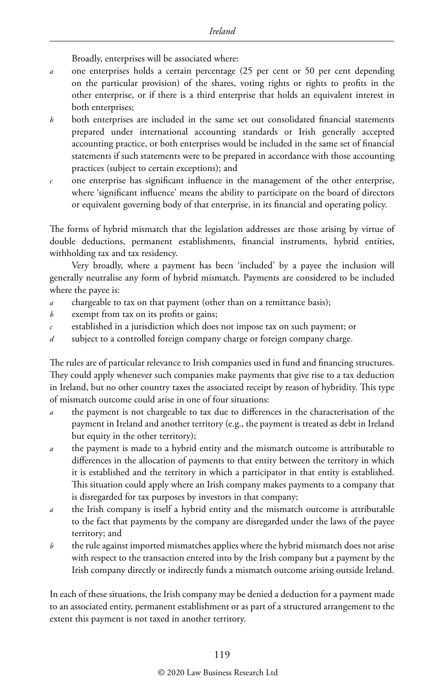Broadly, enterprises will be associated where:

- *a* one enterprises holds a certain percentage (25 per cent or 50 per cent depending on the particular provision) of the shares, voting rights or rights to profits in the other enterprise, or if there is a third enterprise that holds an equivalent interest in both enterprises;
- *b* both enterprises are included in the same set out consolidated financial statements prepared under international accounting standards or Irish generally accepted accounting practice, or both enterprises would be included in the same set of financial statements if such statements were to be prepared in accordance with those accounting practices (subject to certain exceptions); and
- *c* one enterprise has significant influence in the management of the other enterprise, where 'significant influence' means the ability to participate on the board of directors or equivalent governing body of that enterprise, in its financial and operating policy.

The forms of hybrid mismatch that the legislation addresses are those arising by virtue of double deductions, permanent establishments, financial instruments, hybrid entities, withholding tax and tax residency.

Very broadly, where a payment has been 'included' by a payee the inclusion will generally neutralise any form of hybrid mismatch. Payments are considered to be included where the payee is:

- *a* chargeable to tax on that payment (other than on a remittance basis);
- *b* exempt from tax on its profits or gains;
- *c* established in a jurisdiction which does not impose tax on such payment; or
- *d* subject to a controlled foreign company charge or foreign company charge.

The rules are of particular relevance to Irish companies used in fund and financing structures. They could apply whenever such companies make payments that give rise to a tax deduction in Ireland, but no other country taxes the associated receipt by reason of hybridity. This type of mismatch outcome could arise in one of four situations:

- *a* the payment is not chargeable to tax due to differences in the characterisation of the payment in Ireland and another territory (e.g., the payment is treated as debt in Ireland but equity in the other territory);
- *a* the payment is made to a hybrid entity and the mismatch outcome is attributable to differences in the allocation of payments to that entity between the territory in which it is established and the territory in which a participator in that entity is established. This situation could apply where an Irish company makes payments to a company that is disregarded for tax purposes by investors in that company;
- *a* the Irish company is itself a hybrid entity and the mismatch outcome is attributable to the fact that payments by the company are disregarded under the laws of the payee territory; and
- *b* the rule against imported mismatches applies where the hybrid mismatch does not arise with respect to the transaction entered into by the Irish company but a payment by the Irish company directly or indirectly funds a mismatch outcome arising outside Ireland.

In each of these situations, the Irish company may be denied a deduction for a payment made to an associated entity, permanent establishment or as part of a structured arrangement to the extent this payment is not taxed in another territory.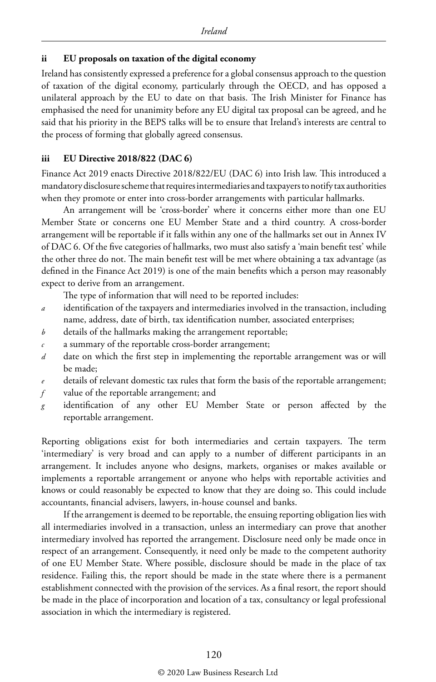#### **ii EU proposals on taxation of the digital economy**

Ireland has consistently expressed a preference for a global consensus approach to the question of taxation of the digital economy, particularly through the OECD, and has opposed a unilateral approach by the EU to date on that basis. The Irish Minister for Finance has emphasised the need for unanimity before any EU digital tax proposal can be agreed, and he said that his priority in the BEPS talks will be to ensure that Ireland's interests are central to the process of forming that globally agreed consensus.

#### **iii EU Directive 2018/822 (DAC 6)**

Finance Act 2019 enacts Directive 2018/822/EU (DAC 6) into Irish law. This introduced a mandatory disclosure scheme that requires intermediaries and taxpayers to notify tax authorities when they promote or enter into cross-border arrangements with particular hallmarks.

An arrangement will be 'cross-border' where it concerns either more than one EU Member State or concerns one EU Member State and a third country. A cross-border arrangement will be reportable if it falls within any one of the hallmarks set out in Annex IV of DAC 6. Of the five categories of hallmarks, two must also satisfy a 'main benefit test' while the other three do not. The main benefit test will be met where obtaining a tax advantage (as defined in the Finance Act 2019) is one of the main benefits which a person may reasonably expect to derive from an arrangement.

The type of information that will need to be reported includes:

- *a* identification of the taxpayers and intermediaries involved in the transaction, including name, address, date of birth, tax identification number, associated enterprises;
- *b* details of the hallmarks making the arrangement reportable;
- *c* a summary of the reportable cross-border arrangement;
- *d* date on which the first step in implementing the reportable arrangement was or will be made;
- *e* details of relevant domestic tax rules that form the basis of the reportable arrangement;
- *f* value of the reportable arrangement; and
- *g* identification of any other EU Member State or person affected by the reportable arrangement.

Reporting obligations exist for both intermediaries and certain taxpayers. The term 'intermediary' is very broad and can apply to a number of different participants in an arrangement. It includes anyone who designs, markets, organises or makes available or implements a reportable arrangement or anyone who helps with reportable activities and knows or could reasonably be expected to know that they are doing so. This could include accountants, financial advisers, lawyers, in-house counsel and banks.

If the arrangement is deemed to be reportable, the ensuing reporting obligation lies with all intermediaries involved in a transaction, unless an intermediary can prove that another intermediary involved has reported the arrangement. Disclosure need only be made once in respect of an arrangement. Consequently, it need only be made to the competent authority of one EU Member State. Where possible, disclosure should be made in the place of tax residence. Failing this, the report should be made in the state where there is a permanent establishment connected with the provision of the services. As a final resort, the report should be made in the place of incorporation and location of a tax, consultancy or legal professional association in which the intermediary is registered.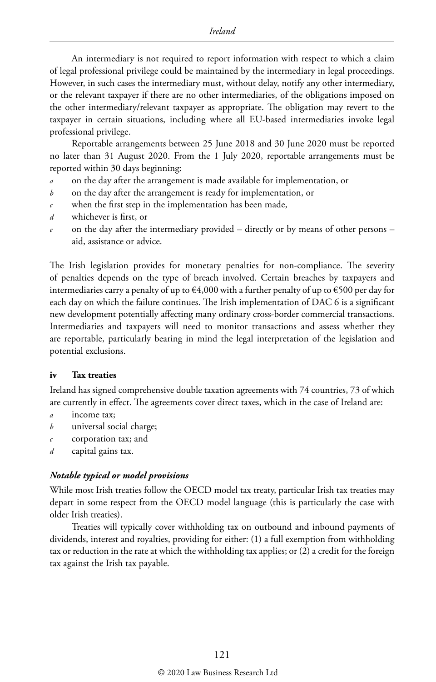An intermediary is not required to report information with respect to which a claim of legal professional privilege could be maintained by the intermediary in legal proceedings. However, in such cases the intermediary must, without delay, notify any other intermediary, or the relevant taxpayer if there are no other intermediaries, of the obligations imposed on the other intermediary/relevant taxpayer as appropriate. The obligation may revert to the taxpayer in certain situations, including where all EU-based intermediaries invoke legal professional privilege.

Reportable arrangements between 25 June 2018 and 30 June 2020 must be reported no later than 31 August 2020. From the 1 July 2020, reportable arrangements must be reported within 30 days beginning:

- *a* on the day after the arrangement is made available for implementation, or
- *b* on the day after the arrangement is ready for implementation, or
- *c* when the first step in the implementation has been made,
- *d* whichever is first, or
- *e* on the day after the intermediary provided directly or by means of other persons aid, assistance or advice.

The Irish legislation provides for monetary penalties for non-compliance. The severity of penalties depends on the type of breach involved. Certain breaches by taxpayers and intermediaries carry a penalty of up to  $64,000$  with a further penalty of up to  $6500$  per day for each day on which the failure continues. The Irish implementation of DAC 6 is a significant new development potentially affecting many ordinary cross-border commercial transactions. Intermediaries and taxpayers will need to monitor transactions and assess whether they are reportable, particularly bearing in mind the legal interpretation of the legislation and potential exclusions.

#### **iv Tax treaties**

Ireland has signed comprehensive double taxation agreements with 74 countries, 73 of which are currently in effect. The agreements cover direct taxes, which in the case of Ireland are:

- *a* income tax;
- *b* universal social charge;
- *c* corporation tax; and
- *d* capital gains tax.

#### *Notable typical or model provisions*

While most Irish treaties follow the OECD model tax treaty, particular Irish tax treaties may depart in some respect from the OECD model language (this is particularly the case with older Irish treaties).

Treaties will typically cover withholding tax on outbound and inbound payments of dividends, interest and royalties, providing for either: (1) a full exemption from withholding tax or reduction in the rate at which the withholding tax applies; or (2) a credit for the foreign tax against the Irish tax payable.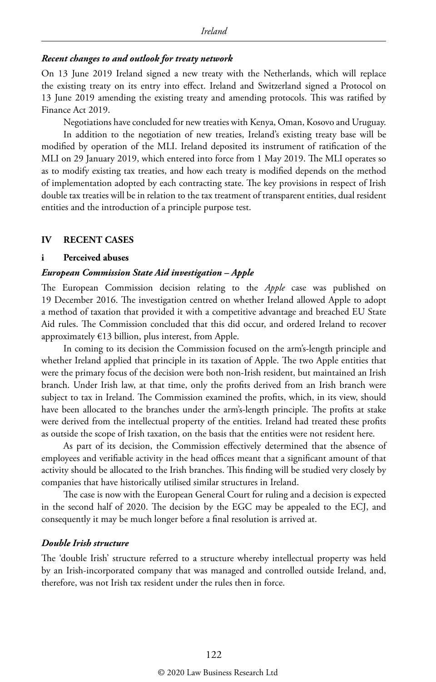#### *Recent changes to and outlook for treaty network*

On 13 June 2019 Ireland signed a new treaty with the Netherlands, which will replace the existing treaty on its entry into effect. Ireland and Switzerland signed a Protocol on 13 June 2019 amending the existing treaty and amending protocols. This was ratified by Finance Act 2019.

Negotiations have concluded for new treaties with Kenya, Oman, Kosovo and Uruguay. In addition to the negotiation of new treaties, Ireland's existing treaty base will be modified by operation of the MLI. Ireland deposited its instrument of ratification of the MLI on 29 January 2019, which entered into force from 1 May 2019. The MLI operates so as to modify existing tax treaties, and how each treaty is modified depends on the method of implementation adopted by each contracting state. The key provisions in respect of Irish double tax treaties will be in relation to the tax treatment of transparent entities, dual resident entities and the introduction of a principle purpose test.

#### **IV RECENT CASES**

#### **i Perceived abuses**

#### *European Commission State Aid investigation – Apple*

The European Commission decision relating to the *Apple* case was published on 19 December 2016. The investigation centred on whether Ireland allowed Apple to adopt a method of taxation that provided it with a competitive advantage and breached EU State Aid rules. The Commission concluded that this did occur, and ordered Ireland to recover approximately  $E13$  billion, plus interest, from Apple.

In coming to its decision the Commission focused on the arm's-length principle and whether Ireland applied that principle in its taxation of Apple. The two Apple entities that were the primary focus of the decision were both non-Irish resident, but maintained an Irish branch. Under Irish law, at that time, only the profits derived from an Irish branch were subject to tax in Ireland. The Commission examined the profits, which, in its view, should have been allocated to the branches under the arm's-length principle. The profits at stake were derived from the intellectual property of the entities. Ireland had treated these profits as outside the scope of Irish taxation, on the basis that the entities were not resident here.

As part of its decision, the Commission effectively determined that the absence of employees and verifiable activity in the head offices meant that a significant amount of that activity should be allocated to the Irish branches. This finding will be studied very closely by companies that have historically utilised similar structures in Ireland.

The case is now with the European General Court for ruling and a decision is expected in the second half of 2020. The decision by the EGC may be appealed to the ECJ, and consequently it may be much longer before a final resolution is arrived at.

#### *Double Irish structure*

The 'double Irish' structure referred to a structure whereby intellectual property was held by an Irish-incorporated company that was managed and controlled outside Ireland, and, therefore, was not Irish tax resident under the rules then in force.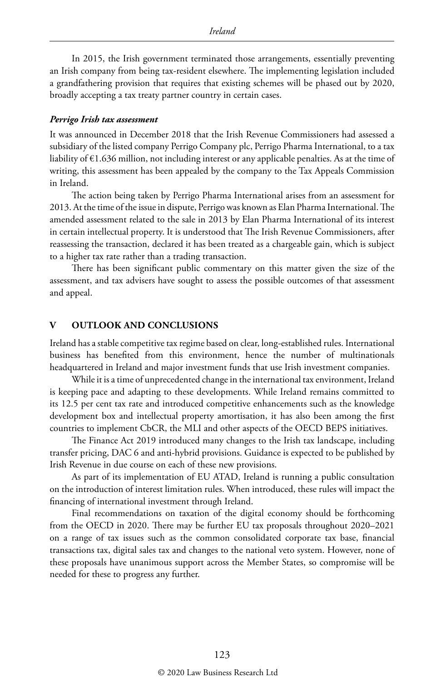In 2015, the Irish government terminated those arrangements, essentially preventing an Irish company from being tax-resident elsewhere. The implementing legislation included a grandfathering provision that requires that existing schemes will be phased out by 2020, broadly accepting a tax treaty partner country in certain cases.

#### *Perrigo Irish tax assessment*

It was announced in December 2018 that the Irish Revenue Commissioners had assessed a subsidiary of the listed company Perrigo Company plc, Perrigo Pharma International, to a tax liability of €1.636 million, not including interest or any applicable penalties. As at the time of writing, this assessment has been appealed by the company to the Tax Appeals Commission in Ireland.

The action being taken by Perrigo Pharma International arises from an assessment for 2013. At the time of the issue in dispute, Perrigo was known as Elan Pharma International. The amended assessment related to the sale in 2013 by Elan Pharma International of its interest in certain intellectual property. It is understood that The Irish Revenue Commissioners, after reassessing the transaction, declared it has been treated as a chargeable gain, which is subject to a higher tax rate rather than a trading transaction.

There has been significant public commentary on this matter given the size of the assessment, and tax advisers have sought to assess the possible outcomes of that assessment and appeal.

#### **OUTLOOK AND CONCLUSIONS**

Ireland has a stable competitive tax regime based on clear, long-established rules. International business has benefited from this environment, hence the number of multinationals headquartered in Ireland and major investment funds that use Irish investment companies.

While it is a time of unprecedented change in the international tax environment, Ireland is keeping pace and adapting to these developments. While Ireland remains committed to its 12.5 per cent tax rate and introduced competitive enhancements such as the knowledge development box and intellectual property amortisation, it has also been among the first countries to implement CbCR, the MLI and other aspects of the OECD BEPS initiatives.

The Finance Act 2019 introduced many changes to the Irish tax landscape, including transfer pricing, DAC 6 and anti-hybrid provisions. Guidance is expected to be published by Irish Revenue in due course on each of these new provisions.

As part of its implementation of EU ATAD, Ireland is running a public consultation on the introduction of interest limitation rules. When introduced, these rules will impact the financing of international investment through Ireland.

Final recommendations on taxation of the digital economy should be forthcoming from the OECD in 2020. There may be further EU tax proposals throughout 2020–2021 on a range of tax issues such as the common consolidated corporate tax base, financial transactions tax, digital sales tax and changes to the national veto system. However, none of these proposals have unanimous support across the Member States, so compromise will be needed for these to progress any further.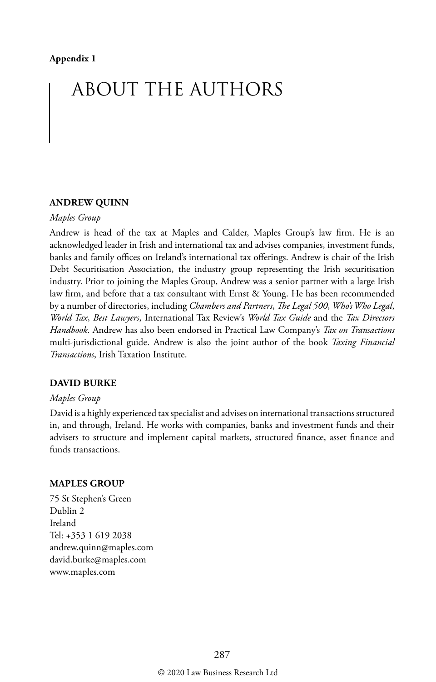## ABOUT THE AUTHORS

#### **ANDREW QUINN**

#### *Maples Group*

Andrew is head of the tax at Maples and Calder, Maples Group's law firm. He is an acknowledged leader in Irish and international tax and advises companies, investment funds, banks and family offices on Ireland's international tax offerings. Andrew is chair of the Irish Debt Securitisation Association, the industry group representing the Irish securitisation industry. Prior to joining the Maples Group, Andrew was a senior partner with a large Irish law firm, and before that a tax consultant with Ernst & Young. He has been recommended by a number of directories, including *Chambers and Partners*, *The Legal 500*, *Who's Who Legal*, *World Tax*, *Best Lawyers*, International Tax Review's *World Tax Guide* and the *Tax Directors Handbook*. Andrew has also been endorsed in Practical Law Company's *Tax on Transactions* multi-jurisdictional guide. Andrew is also the joint author of the book *Taxing Financial Transactions*, Irish Taxation Institute.

#### **DAVID BURKE**

#### *Maples Group*

David is a highly experienced tax specialist and advises on international transactions structured in, and through, Ireland. He works with companies, banks and investment funds and their advisers to structure and implement capital markets, structured finance, asset finance and funds transactions.

#### **MAPLES GROUP**

75 St Stephen's Green Dublin 2 Ireland Tel: +353 1 619 2038 andrew.quinn@maples.com david.burke@maples.com www.maples.com